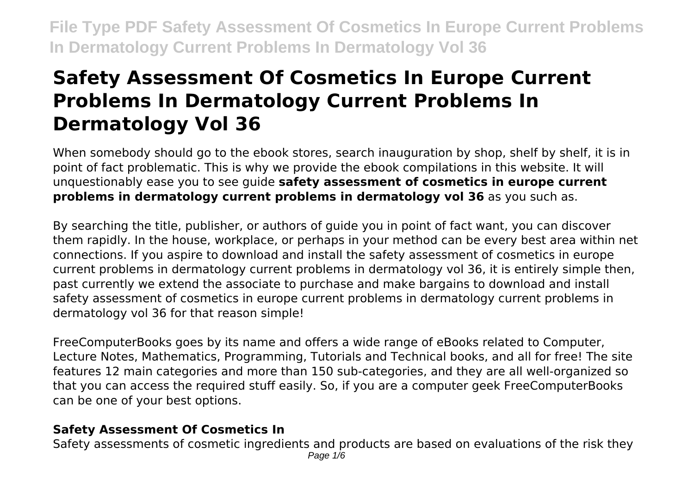# **Safety Assessment Of Cosmetics In Europe Current Problems In Dermatology Current Problems In Dermatology Vol 36**

When somebody should go to the ebook stores, search inauguration by shop, shelf by shelf, it is in point of fact problematic. This is why we provide the ebook compilations in this website. It will unquestionably ease you to see guide **safety assessment of cosmetics in europe current problems in dermatology current problems in dermatology vol 36** as you such as.

By searching the title, publisher, or authors of guide you in point of fact want, you can discover them rapidly. In the house, workplace, or perhaps in your method can be every best area within net connections. If you aspire to download and install the safety assessment of cosmetics in europe current problems in dermatology current problems in dermatology vol 36, it is entirely simple then, past currently we extend the associate to purchase and make bargains to download and install safety assessment of cosmetics in europe current problems in dermatology current problems in dermatology vol 36 for that reason simple!

FreeComputerBooks goes by its name and offers a wide range of eBooks related to Computer, Lecture Notes, Mathematics, Programming, Tutorials and Technical books, and all for free! The site features 12 main categories and more than 150 sub-categories, and they are all well-organized so that you can access the required stuff easily. So, if you are a computer geek FreeComputerBooks can be one of your best options.

#### **Safety Assessment Of Cosmetics In**

Safety assessments of cosmetic ingredients and products are based on evaluations of the risk they Page 1/6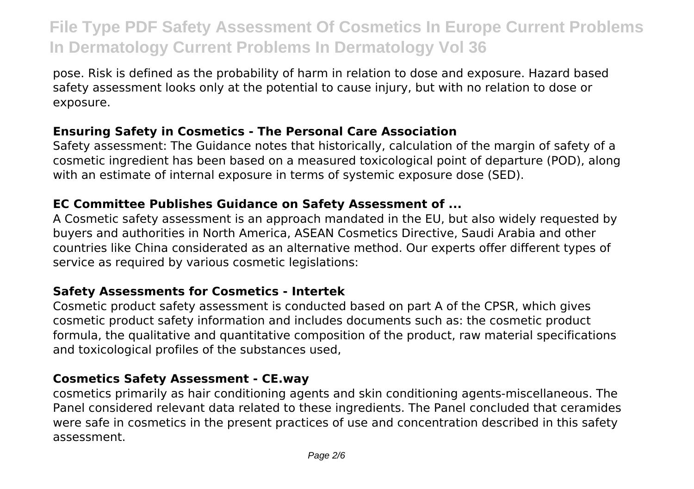pose. Risk is defined as the probability of harm in relation to dose and exposure. Hazard based safety assessment looks only at the potential to cause injury, but with no relation to dose or exposure.

#### **Ensuring Safety in Cosmetics - The Personal Care Association**

Safety assessment: The Guidance notes that historically, calculation of the margin of safety of a cosmetic ingredient has been based on a measured toxicological point of departure (POD), along with an estimate of internal exposure in terms of systemic exposure dose (SED).

#### **EC Committee Publishes Guidance on Safety Assessment of ...**

A Cosmetic safety assessment is an approach mandated in the EU, but also widely requested by buyers and authorities in North America, ASEAN Cosmetics Directive, Saudi Arabia and other countries like China considerated as an alternative method. Our experts offer different types of service as required by various cosmetic legislations:

#### **Safety Assessments for Cosmetics - Intertek**

Cosmetic product safety assessment is conducted based on part A of the CPSR, which gives cosmetic product safety information and includes documents such as: the cosmetic product formula, the qualitative and quantitative composition of the product, raw material specifications and toxicological profiles of the substances used,

# **Cosmetics Safety Assessment - CE.way**

cosmetics primarily as hair conditioning agents and skin conditioning agents-miscellaneous. The Panel considered relevant data related to these ingredients. The Panel concluded that ceramides were safe in cosmetics in the present practices of use and concentration described in this safety assessment.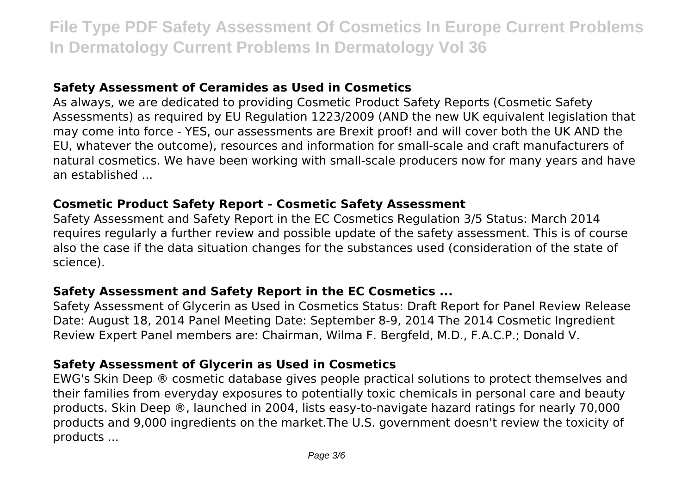#### **Safety Assessment of Ceramides as Used in Cosmetics**

As always, we are dedicated to providing Cosmetic Product Safety Reports (Cosmetic Safety Assessments) as required by EU Regulation 1223/2009 (AND the new UK equivalent legislation that may come into force - YES, our assessments are Brexit proof! and will cover both the UK AND the EU, whatever the outcome), resources and information for small-scale and craft manufacturers of natural cosmetics. We have been working with small-scale producers now for many years and have an established ...

#### **Cosmetic Product Safety Report - Cosmetic Safety Assessment**

Safety Assessment and Safety Report in the EC Cosmetics Regulation 3/5 Status: March 2014 requires regularly a further review and possible update of the safety assessment. This is of course also the case if the data situation changes for the substances used (consideration of the state of science).

#### **Safety Assessment and Safety Report in the EC Cosmetics ...**

Safety Assessment of Glycerin as Used in Cosmetics Status: Draft Report for Panel Review Release Date: August 18, 2014 Panel Meeting Date: September 8-9, 2014 The 2014 Cosmetic Ingredient Review Expert Panel members are: Chairman, Wilma F. Bergfeld, M.D., F.A.C.P.; Donald V.

#### **Safety Assessment of Glycerin as Used in Cosmetics**

EWG's Skin Deep ® cosmetic database gives people practical solutions to protect themselves and their families from everyday exposures to potentially toxic chemicals in personal care and beauty products. Skin Deep ®, launched in 2004, lists easy-to-navigate hazard ratings for nearly 70,000 products and 9,000 ingredients on the market.The U.S. government doesn't review the toxicity of products ...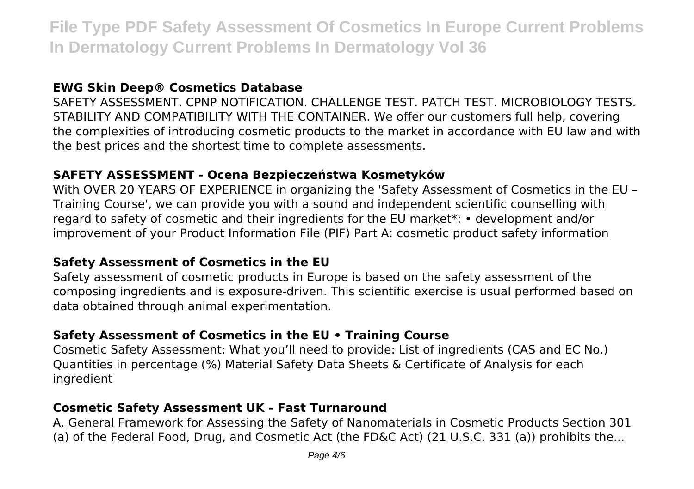#### **EWG Skin Deep® Cosmetics Database**

SAFETY ASSESSMENT. CPNP NOTIFICATION. CHALLENGE TEST. PATCH TEST. MICROBIOLOGY TESTS. STABILITY AND COMPATIBILITY WITH THE CONTAINER. We offer our customers full help, covering the complexities of introducing cosmetic products to the market in accordance with EU law and with the best prices and the shortest time to complete assessments.

#### **SAFETY ASSESSMENT - Ocena Bezpieczeństwa Kosmetyków**

With OVER 20 YEARS OF EXPERIENCE in organizing the 'Safety Assessment of Cosmetics in the EU – Training Course', we can provide you with a sound and independent scientific counselling with regard to safety of cosmetic and their ingredients for the EU market\*: • development and/or improvement of your Product Information File (PIF) Part A: cosmetic product safety information

#### **Safety Assessment of Cosmetics in the EU**

Safety assessment of cosmetic products in Europe is based on the safety assessment of the composing ingredients and is exposure-driven. This scientific exercise is usual performed based on data obtained through animal experimentation.

# **Safety Assessment of Cosmetics in the EU • Training Course**

Cosmetic Safety Assessment: What you'll need to provide: List of ingredients (CAS and EC No.) Quantities in percentage (%) Material Safety Data Sheets & Certificate of Analysis for each ingredient

#### **Cosmetic Safety Assessment UK - Fast Turnaround**

A. General Framework for Assessing the Safety of Nanomaterials in Cosmetic Products Section 301 (a) of the Federal Food, Drug, and Cosmetic Act (the FD&C Act) (21 U.S.C. 331 (a)) prohibits the...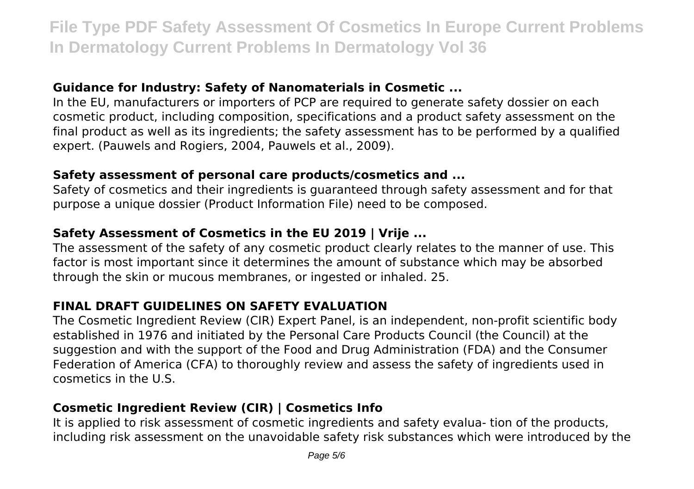#### **Guidance for Industry: Safety of Nanomaterials in Cosmetic ...**

In the EU, manufacturers or importers of PCP are required to generate safety dossier on each cosmetic product, including composition, specifications and a product safety assessment on the final product as well as its ingredients; the safety assessment has to be performed by a qualified expert. (Pauwels and Rogiers, 2004, Pauwels et al., 2009).

### **Safety assessment of personal care products/cosmetics and ...**

Safety of cosmetics and their ingredients is guaranteed through safety assessment and for that purpose a unique dossier (Product Information File) need to be composed.

# **Safety Assessment of Cosmetics in the EU 2019 | Vrije ...**

The assessment of the safety of any cosmetic product clearly relates to the manner of use. This factor is most important since it determines the amount of substance which may be absorbed through the skin or mucous membranes, or ingested or inhaled. 25.

# **FINAL DRAFT GUIDELINES ON SAFETY EVALUATION**

The Cosmetic Ingredient Review (CIR) Expert Panel, is an independent, non-profit scientific body established in 1976 and initiated by the Personal Care Products Council (the Council) at the suggestion and with the support of the Food and Drug Administration (FDA) and the Consumer Federation of America (CFA) to thoroughly review and assess the safety of ingredients used in cosmetics in the U.S.

# **Cosmetic Ingredient Review (CIR) | Cosmetics Info**

It is applied to risk assessment of cosmetic ingredients and safety evalua- tion of the products, including risk assessment on the unavoidable safety risk substances which were introduced by the